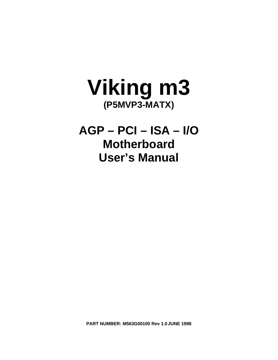

**AGP – PCI – ISA – I/O Motherboard User's Manual**

**PART NUMBER: M563G00100 Rev 1.0JUNE 1998**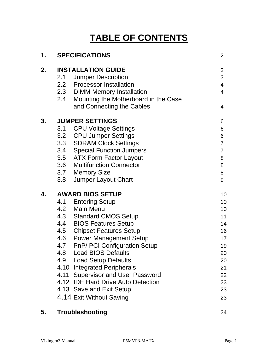# **TABLE OF CONTENTS**

| 1. |     | <b>SPECIFICATIONS</b>                    | 2              |
|----|-----|------------------------------------------|----------------|
| 2. |     | <b>INSTALLATION GUIDE</b>                | 3              |
|    | 2.1 | <b>Jumper Description</b>                | 3              |
|    |     | 2.2 Processor Installation               | 4              |
|    |     | 2.3 DIMM Memory Installation             | $\overline{4}$ |
|    |     | 2.4 Mounting the Motherboard in the Case |                |
|    |     | and Connecting the Cables                | 4              |
| 3. |     | <b>JUMPER SETTINGS</b>                   | 6              |
|    | 3.1 | <b>CPU Voltage Settings</b>              | 6              |
|    |     | 3.2 CPU Jumper Settings                  | 6              |
|    |     | 3.3 SDRAM Clock Settings                 | $\overline{7}$ |
|    |     | 3.4 Special Function Jumpers             | $\overline{7}$ |
|    |     | 3.5 ATX Form Factor Layout               | 8              |
|    | 3.6 | <b>Multifunction Connector</b>           | 8              |
|    |     | 3.7 Memory Size                          | 8              |
|    | 3.8 | Jumper Layout Chart                      | 9              |
| 4. |     | <b>AWARD BIOS SETUP</b>                  | 10             |
|    |     | 4.1 Entering Setup                       | 10             |
|    |     | 4.2 Main Menu                            | 10             |
|    |     | 4.3 Standard CMOS Setup                  | 11             |
|    |     | 4.4 BIOS Features Setup                  | 14             |
|    | 4.5 | <b>Chipset Features Setup</b>            | 16             |
|    |     | 4.6 Power Management Setup               | 17             |
|    |     | 4.7 PnP/ PCI Configuration Setup         | 19             |
|    | 4.8 | <b>Load BIOS Defaults</b>                | 20             |
|    | 4.9 | <b>Load Setup Defaults</b>               | 20             |
|    |     | 4.10 Integrated Peripherals              | 21             |
|    |     | 4.11 Supervisor and User Password        | 22             |
|    |     | 4.12 IDE Hard Drive Auto Detection       | 23             |
|    |     | 4.13 Save and Exit Setup                 | 23             |
|    |     | 4.14 Exit Without Saving                 | 23             |
|    |     |                                          |                |

## **5. Troubleshooting** 24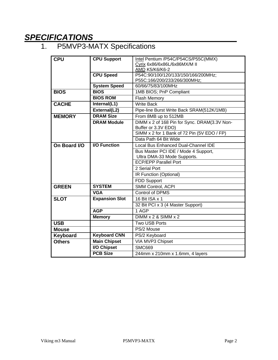# *SPECIFICATIONS*

# 1. P5MVP3-MATX Specifications

| <b>CPU</b>    | <b>CPU Support</b>    | Intel Pentium /P54C/P54CS/P55C(MMX)                                 |
|---------------|-----------------------|---------------------------------------------------------------------|
|               |                       | Cyrix 6x86/6x86L/6x86MX/M II                                        |
|               |                       | AMD K5/K6/K6-2                                                      |
|               | <b>CPU Speed</b>      | P54C:90/100/120/133/150/166/200MHz;                                 |
|               |                       | P55C:166/200/233/266/300MHz;                                        |
|               | <b>System Speed</b>   | 60/66/75/83/100MHz                                                  |
| <b>BIOS</b>   | <b>BIOS</b>           | 1MB BIOS; PnP Compliant                                             |
|               | <b>BIOS ROM</b>       | <b>Flash Memory</b>                                                 |
| <b>CACHE</b>  | Internal(L1)          | <b>Write Back</b>                                                   |
|               | External(L2)          | Pipe-line Burst Write Back SRAM(512K/1MB)                           |
| <b>MEMORY</b> | <b>DRAM Size</b>      | From 8MB up to 512MB                                                |
|               | <b>DRAM Module</b>    | DIMM x 2 of 168 Pin for Sync. DRAM(3.3V Non-                        |
|               |                       | Buffer or 3.3V EDO)<br>SIMM x 2 for 1 Bank of 72 Pin (5V EDO / FP)  |
|               |                       | Data Path 64 Bit Wide                                               |
| On Board I/O  | <b>I/O Function</b>   | Local Bus Enhanced Dual-Channel IDE                                 |
|               |                       |                                                                     |
|               |                       | Bus Master PCI IDE / Mode 4 Support,<br>Ultra DMA-33 Mode Supports. |
|               |                       | <b>ECP/EPP Parallel Port</b>                                        |
|               |                       | 2 Serial Port                                                       |
|               |                       | IR Function (Optional)                                              |
|               |                       | FDD Support                                                         |
| <b>GREEN</b>  | <b>SYSTEM</b>         | SMM Control, ACPI                                                   |
|               | <b>VGA</b>            | <b>Control of DPMS</b>                                              |
| <b>SLOT</b>   | <b>Expansion Slot</b> | 16 Bit ISA x 1                                                      |
|               |                       | 32 Bit PCI x 3 (4 Master Support)                                   |
|               | <b>AGP</b>            | $\overline{1}$ AGP                                                  |
|               | <b>Memory</b>         | $DIMM \times 2 &$ SIMM $\times 2$                                   |
| <b>USB</b>    |                       | <b>Two USB Ports</b>                                                |
|               |                       |                                                                     |
| <b>Mouse</b>  |                       | PS/2 Mouse                                                          |
| Keyboard      | <b>Keyboard CNN</b>   | PS/2 Keyboard                                                       |
| <b>Others</b> | <b>Main Chipset</b>   | VIA MVP3 Chipset                                                    |
|               | <b>I/O Chipset</b>    | <b>SMC669</b>                                                       |
|               | <b>PCB Size</b>       | 244mm x 210mm x 1.6mm, 4 layers                                     |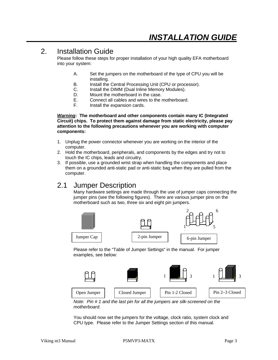# 2. Installation Guide

Please follow these steps for proper installation of your high quality EFA motherboard into your system:

- A. Set the jumpers on the motherboard of the type of CPU you will be installing.
- B. Install the Central Processing Unit (CPU or processor).
- C. Install the DIMM (Dual Inline Memory Modules).
- D. Mount the motherboard in the case.
- E. Connect all cables and wires to the motherboard.
- F. Install the expansion cards.

*Warning***: The motherboard and other components contain many IC (Integrated Circuit) chips. To protect them against damage from static electricity, please pay attention to the following precautions whenever you are working with computer components:**

- 1. Unplug the power connector whenever you are working on the interior of the computer.
- 2. Hold the motherboard, peripherals, and components by the edges and try not to touch the IC chips, leads and circuitry.
- 3. If possible, use a grounded wrist strap when handling the components and place them on a grounded anti-static pad or anti-static bag when they are pulled from the computer.

## 2.1 Jumper Description

Many hardware settings are made through the use of jumper caps connecting the jumper pins (see the following figures). There are various jumper pins on the motherboard such as two, three six and eight pin jumpers.



Please refer to the "Table of Jumper Settings" in the manual. For jumper examples, see below:



*Note: Pin # 1 and the last pin for all the jumpers are silk-screened on the motherboard.*

You should now set the jumpers for the voltage, clock ratio, system clock and CPU type. Please refer to the Jumper Settings section of this manual.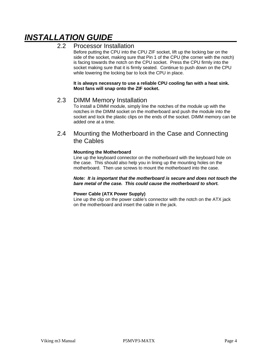# *INSTALLATION GUIDE*

### 2.2 Processor Installation

Before putting the CPU into the CPU ZIF socket, lift up the locking bar on the side of the socket, making sure that Pin 1 of the CPU (the corner with the notch) is facing towards the notch on the CPU socket. Press the CPU firmly into the socket making sure that it is firmly seated. Continue to push down on the CPU while lowering the locking bar to lock the CPU in place.

**It is always necessary to use a reliable CPU cooling fan with a heat sink. Most fans will snap onto the ZIF socket.**

### 2.3 DIMM Memory Installation

To install a DIMM module, simply line the notches of the module up with the notches in the DIMM socket on the motherboard and push the module into the socket and lock the plastic clips on the ends of the socket. DIMM memory can be added one at a time.

### 2.4 Mounting the Motherboard in the Case and Connecting the Cables

#### **Mounting the Motherboard**

Line up the keyboard connector on the motherboard with the keyboard hole on the case. This should also help you in lining up the mounting holes on the motherboard. Then use screws to mount the motherboard into the case.

#### *Note: It is important that the motherboard is secure and does not touch the bare metal of the case. This could cause the motherboard to short.*

#### **Power Cable (ATX Power Supply)**

Line up the clip on the power cable's connector with the notch on the ATX jack on the motherboard and insert the cable in the jack.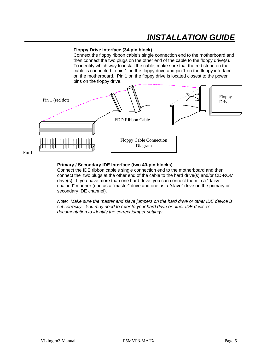# *INSTALLATION GUIDE*

#### **Floppy Drive Interface (34-pin block)**

Connect the floppy ribbon cable's single connection end to the motherboard and then connect the two plugs on the other end of the cable to the floppy drive(s). To identify which way to install the cable, make sure that the red stripe on the cable is connected to pin 1 on the floppy drive and pin 1 on the floppy interface on the motherboard. Pin 1 on the floppy drive is located closest to the power pins on the floppy drive.



#### **Primary / Secondary IDE Interface (two 40-pin blocks)**

Connect the IDE ribbon cable's single connection end to the motherboard and then connect the two plugs at the other end of the cable to the hard drive(s) and/or CD-ROM drive(s). If you have more than one hard drive, you can connect them in a "daisychained" manner (one as a "master" drive and one as a "slave" drive on the primary or secondary IDE channel).

*Note: Make sure the master and slave jumpers on the hard drive or other IDE device is set correctly. You may need to refer to your hard drive or other IDE device's documentation to identify the correct jumper settings.*

Pin 1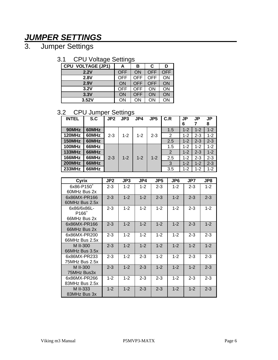# *JUMPER SETTINGS*

3. Jumper Settings

## 3.1 CPU Voltage Settings

| ັ                        | ັ          |     |     |            |
|--------------------------|------------|-----|-----|------------|
| <b>CPU VOLTAGE (JP1)</b> | А          | в   | C   | D          |
| 2.2V                     | <b>OFF</b> | ON  | OFF | <b>OFF</b> |
| 2.8V                     | OFF        | OFF | OFF | ON         |
| 2.9V                     | ON         | OFF | OFF | ON         |
| 3.2V                     | OFF        | OFF | ON  | ON         |
| 3.3V                     | ON         | OFF | ON  | ON         |
| 3.52V                    | ΟN         | ΟN  | ΟN  | ΟN         |

## 3.2 CPU Jumper Settings

| <b>INTEL</b>  | S.C   | JP2     | ັ<br>JP3 | JP4     | JP <sub>5</sub> | C.R | JP<br>6 | JP      | JP<br>8 |
|---------------|-------|---------|----------|---------|-----------------|-----|---------|---------|---------|
| 90MHz         | 60MHz |         |          |         |                 | 1.5 | $1 - 2$ | $1 - 2$ | $1 - 2$ |
|               |       |         |          |         |                 |     |         |         |         |
| <b>120MHz</b> | 60MHz | $2 - 3$ | $1 - 2$  | $1 - 2$ | $2 - 3$         | 2   | $1 - 2$ | $2 - 3$ | $1 - 2$ |
| 150MHz        | 60MHz |         |          |         |                 | 2.5 | $1 - 2$ | $2 - 3$ | $2 - 3$ |
| 100MHz        | 66MHz |         |          |         |                 | 1.5 | $1 - 2$ | $1 - 2$ | $1 - 2$ |
| <b>133MHz</b> | 66MHz |         |          |         |                 | 2   | $1 - 2$ | $2 - 3$ | $1 - 2$ |
| <b>166MHz</b> | 66MHz | $2 - 3$ | $1 - 2$  | $1 - 2$ | $1 - 2$         | 2.5 | $1 - 2$ | $2 - 3$ | $2 - 3$ |
| <b>200MHz</b> | 66MHz |         |          |         |                 | 3   | $1 - 2$ | $1 - 2$ | $2 - 3$ |
| <b>233MHz</b> | 66MHz |         |          |         |                 | 3.5 | $1 - 2$ | $1 - 2$ | $1 - 2$ |

| Cyrix                  | JP2     | JP3     | JP4     | JP5     | JP6     | JP7     | JP8     |
|------------------------|---------|---------|---------|---------|---------|---------|---------|
| 6x86-P150 <sup>+</sup> | $2 - 3$ | $1 - 2$ | $1 - 2$ | $2 - 3$ | $1 - 2$ | $2 - 3$ | $1 - 2$ |
| 60MHz Bus 2x           |         |         |         |         |         |         |         |
| 6x86MX-PR166           | $2 - 3$ | $1 - 2$ | $1 - 2$ | $2 - 3$ | $1 - 2$ | $2 - 3$ | $2 - 3$ |
| 60MHz Bus 2.5x         |         |         |         |         |         |         |         |
| 6x86/6x86L-            | $2 - 3$ | $1 - 2$ | $1 - 2$ | $1 - 2$ | $1 - 2$ | $2 - 3$ | $1 - 2$ |
| P166 <sup>+</sup>      |         |         |         |         |         |         |         |
| 66MHz Bus 2x           |         |         |         |         |         |         |         |
| 6x86MX-PR166           | $2 - 3$ | $1 - 2$ | $1 - 2$ | $1 - 2$ | $1 - 2$ | $2 - 3$ | $1 - 2$ |
| 66MHz Bus 2x           |         |         |         |         |         |         |         |
| 6x86MX-PR200           | $2 - 3$ | $1 - 2$ | $1 - 2$ | $1 - 2$ | $1 - 2$ | $2 - 3$ | $2 - 3$ |
| 66MHz Bus 2.5x         |         |         |         |         |         |         |         |
| M II-300               | $2 - 3$ | $1 - 2$ | $1 - 2$ | $1 - 2$ | $1 - 2$ | $1 - 2$ | $1 - 2$ |
| 66MHz Bus 3.5x         |         |         |         |         |         |         |         |
| 6x86MX-PR233           | $2 - 3$ | $1 - 2$ | $2 - 3$ | $1 - 2$ | $1 - 2$ | $2 - 3$ | $2 - 3$ |
| 75MHz Bus 2.5x         |         |         |         |         |         |         |         |
| M II-300               | $2 - 3$ | $1 - 2$ | $2 - 3$ | $1 - 2$ | $1 - 2$ | $1 - 2$ | $2 - 3$ |
| 75MHz Bus3x            |         |         |         |         |         |         |         |
| 6x86MX-PR266           | $1 - 2$ | $1 - 2$ | $2 - 3$ | $2 - 3$ | $1 - 2$ | $2 - 3$ | $2 - 3$ |
| 83MHz Bus 2.5x         |         |         |         |         |         |         |         |
| M II-333               | $1 - 2$ | $1 - 2$ | $2 - 3$ | $2 - 3$ | $1 - 2$ | $1 - 2$ | $2 - 3$ |
| 83MHz Bus 3x           |         |         |         |         |         |         |         |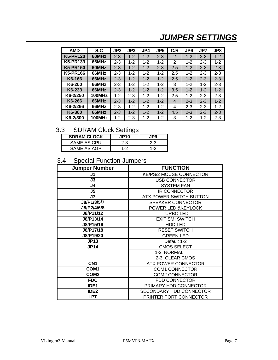# *JUMPER SETTINGS*

| <b>AMD</b>      | S.C    | JP2     | JP3     | JP4     | JP <sub>5</sub> | C.R | JP <sub>6</sub> | JP7     | JP8     |
|-----------------|--------|---------|---------|---------|-----------------|-----|-----------------|---------|---------|
| <b>K5-PR120</b> | 60MHz  | $2 - 3$ | $1 - 2$ | $1 - 2$ | $2 - 3$         | 2   | $1 - 2$         | $2 - 3$ | $1 - 2$ |
| <b>K5-PR133</b> | 66MHz  | $2 - 3$ | $1 - 2$ | $1 - 2$ | $1 - 2$         | 2   | $1 - 2$         | $2 - 3$ | $1 - 2$ |
| <b>K5-PR150</b> | 60MHz  | $2 - 3$ | $1 - 2$ | $1 - 2$ | $2 - 3$         | 2.5 | $1 - 2$         | $2 - 3$ | $2 - 3$ |
| K5-PR166        | 66MHz  | $2 - 3$ | $1 - 2$ | $1 - 2$ | $1 - 2$         | 2.5 | $1 - 2$         | $2 - 3$ | $2 - 3$ |
| K6-166          | 66MHz  | $2 - 3$ | $1 - 2$ | $1 - 2$ | $1 - 2$         | 2.5 | $1 - 2$         | $2 - 3$ | $2 - 3$ |
| K6-200          | 66MHz  | $2 - 3$ | $1 - 2$ | $1 - 2$ | $1 - 2$         | 3   | $1 - 2$         | $1 - 2$ | $2 - 3$ |
| K6-233          | 66MHz  | $2 - 3$ | $1 - 2$ | $1 - 2$ | $1 - 2$         | 3.5 | $1 - 2$         | $1 - 2$ | $1 - 2$ |
| K6-2/250        | 100MHz | $1 - 2$ | $2 - 3$ | $1 - 2$ | $1 - 2$         | 2.5 | $1 - 2$         | $2 - 3$ | $2 - 3$ |
| K6-266          | 66MHz  | $2 - 3$ | $1 - 2$ | $1 - 2$ | $1 - 2$         | 4   | $2 - 3$         | $2 - 3$ | $1 - 2$ |
| K6-2/266        | 66MHz  | $2 - 3$ | $1 - 2$ | $1 - 2$ | $1 - 2$         | 4   | $2 - 3$         | $2 - 3$ | $1 - 2$ |
| K6-300          | 66MHz  | $2 - 3$ | $1 - 2$ | $1 - 2$ | $1 - 2$         | 4.5 | $2 - 3$         | $2 - 3$ | $2 - 3$ |
| K6-2/300        | 100MHz | $1 - 2$ | $2 - 3$ | 1-2     | $1 - 2$         | 3   | $1 - 2$         | $1 - 2$ | $2 - 3$ |

## 3.3 SDRAM Clock Settings

| <b>SDRAM CLOCK</b> | <b>JP10</b> | 'P9         |
|--------------------|-------------|-------------|
| SAME AS CPU        | 2-3         | 2-3         |
| SAME AS AGP        | 1-2         | 1. $\Omega$ |

# 3.4 Special Function Jumpers

| <b>Jumper Number</b> | <b>FUNCTION</b>                |  |  |  |
|----------------------|--------------------------------|--|--|--|
| J1                   | <b>KB/PS/2 MOUSE CONNECTOR</b> |  |  |  |
| J3                   | USB CONNECTOR                  |  |  |  |
| J4                   | <b>SYSTEM FAN</b>              |  |  |  |
| J5                   | <b>IR CONNECTOR</b>            |  |  |  |
| J7                   | <b>ATX POWER SWITCH BUTTON</b> |  |  |  |
| J8/P1/3/5/7          | SPEAKER CONNECTOR              |  |  |  |
| J8/P2/4/6/8          | POWER LED & KEYLOCK            |  |  |  |
| J8/P11/12            | <b>TURBO LED</b>               |  |  |  |
| J8/P13/14            | <b>EXIT SMI SWITCH</b>         |  |  |  |
| J8/P15/16            | HDD LED                        |  |  |  |
| J8/P17/18            | <b>RESET SWITCH</b>            |  |  |  |
| J8/P19/20            | <b>GREEN LED</b>               |  |  |  |
| <b>JP13</b>          | Default 1-2                    |  |  |  |
| <b>JP14</b>          | <b>CMOS SELECT</b>             |  |  |  |
|                      | 1-2 NORMAL                     |  |  |  |
|                      | 2-3 CLEAR CMOS                 |  |  |  |
| CN <sub>1</sub>      | <b>ATX POWER CONNECTOR</b>     |  |  |  |
| COM <sub>1</sub>     | <b>COM1 CONNECTOR</b>          |  |  |  |
| COM <sub>2</sub>     | <b>COM2 CONNECTOR</b>          |  |  |  |
| <b>FDC</b>           | <b>FDD CONNECTOR</b>           |  |  |  |
| IDE <sub>1</sub>     | PRIMARY HDD CONNECTOR          |  |  |  |
| IDE <sub>2</sub>     | SECONDARY HDD CONNECTOR        |  |  |  |
| <b>LPT</b>           | PRINTER PORT CONNECTOR         |  |  |  |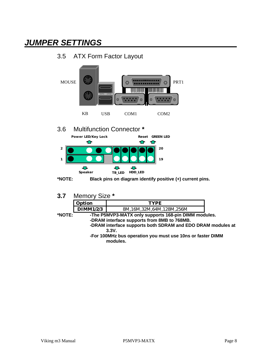# *JUMPER SETTINGS*

# 3.5 ATX Form Factor Layout



**3.7** Memory Size **\***

|        | <b>Option</b>                                        | TYPF.                    |  |  |  |  |  |
|--------|------------------------------------------------------|--------------------------|--|--|--|--|--|
|        | DIMM1/2/3                                            | 8M.16M.32M.64M.128M.256M |  |  |  |  |  |
| *NOTE: | -The P5MVP3-MATX only supports 168-pin DIMM modules. |                          |  |  |  |  |  |

- **-DRAM interface supports from 8MB to 768MB. -DRAM interface supports both SDRAM and EDO DRAM modules at 3.3V.**
- **-For 100MHz bus operation you must use 10ns or faster DIMM modules.**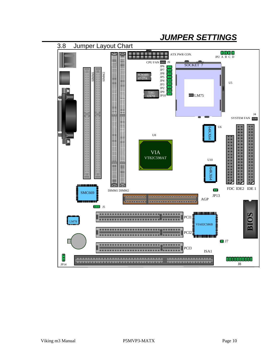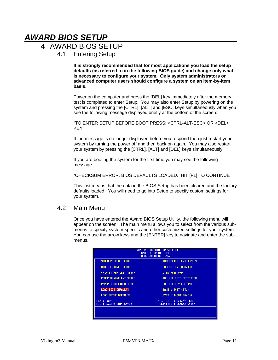# *AWARD BIOS SETUP*

## 4 AWARD BIOS SETUP

4.1 Entering Setup

**It is strongly recommended that for most applications you load the setup defaults (as referred to in the following BIOS guide) and change only what is necessary to configure your system. Only system administrators or advanced computer users should configure a system on an item-by-item basis.**

Power on the computer and press the [DEL] key immediately after the memory test is completed to enter Setup. You may also enter Setup by powering on the system and pressing the [CTRL], [ALT] and [ESC] keys simultaneously when you see the following message displayed briefly at the bottom of the screen:

"TO ENTER SETUP BEFORE BOOT PRESS: <CTRL-ALT-ESC> OR <DEL> KEY"

If the message is no longer displayed before you respond then just restart your system by turning the power off and then back on again. You may also restart your system by pressing the [CTRL], [ALT] and [DEL] keys simultaneously.

If you are booting the system for the first time you may see the following message:

"CHECKSUM ERROR, BIOS DEFAULTS LOADED. HIT [F1] TO CONTINUE"

This just means that the data in the BIOS Setup has been cleared and the factory defaults loaded. You will need to go into Setup to specify custom settings for your system.

### 4.2 Main Menu

Once you have entered the Award BIOS Setup Utility, the following menu will appear on the screen. The main menu allows you to select from the various submenus to specify system-specific and other customized settings for your system. You can use the arrow keys and the [ENTER] key to navigate and enter the submenus.

| ROM PCI/ISA BIOS (2A5LEE3E)<br>CHOS SETUP UTILITY<br>AHARD SOFTHARE, INC. |                                                        |  |  |  |  |
|---------------------------------------------------------------------------|--------------------------------------------------------|--|--|--|--|
| STANDARD CHOS SETUP<br>INTEGRATED PERIPHERALS                             |                                                        |  |  |  |  |
| <b>BIOS FEATURES SETUP</b>                                                | SUPERVISOR PASSHORD                                    |  |  |  |  |
| <b>CHIPSET FEATURES SETUP</b>                                             | USER PASSHORD                                          |  |  |  |  |
| POHER MANAGEMENT SETUP                                                    | IDE HDD AUTO DETECTION                                 |  |  |  |  |
| PNP/PCT CONFIGURATION                                                     | HDD LOW LEVEL FORMAT                                   |  |  |  |  |
| LOAD BIOS DEFAULTS                                                        | SAVE & EXIT SETUP                                      |  |  |  |  |
| LOAD SETUP DEFAULTS                                                       | <b>EXIT HITHOUT SAVING</b>                             |  |  |  |  |
| Esc : Ouit<br>F10 : Save & Exit Setup                                     | : Select Item<br>$T + + +$<br>(Shift)F2 : Change Color |  |  |  |  |
|                                                                           |                                                        |  |  |  |  |
|                                                                           |                                                        |  |  |  |  |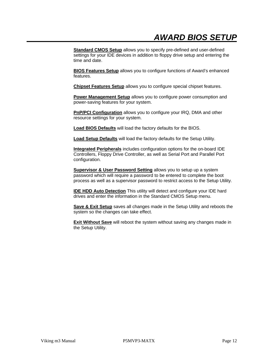**Standard CMOS Setup** allows you to specify pre-defined and user-defined settings for your IDE devices in addition to floppy drive setup and entering the time and date.

**BIOS Features Setup** allows you to configure functions of Award's enhanced features.

**Chipset Features Setup** allows you to configure special chipset features.

**Power Management Setup** allows you to configure power consumption and power-saving features for your system.

**PnP/PCI Configuration** allows you to configure your IRQ, DMA and other resource settings for your system.

**Load BIOS Defaults** will load the factory defaults for the BIOS.

**Load Setup Defaults** will load the factory defaults for the Setup Utility.

**Integrated Peripherals** includes configuration options for the on-board IDE Controllers, Floppy Drive Controller, as well as Serial Port and Parallel Port configuration.

**Supervisor & User Password Setting allows you to setup up a system** password which will require a password to be entered to complete the boot process as well as a supervisor password to restrict access to the Setup Utility.

**IDE HDD Auto Detection** This utility will detect and configure your IDE hard drives and enter the information in the Standard CMOS Setup menu.

**Save & Exit Setup** saves all changes made in the Setup Utility and reboots the system so the changes can take effect.

**Exit Without Save** will reboot the system without saving any changes made in the Setup Utility.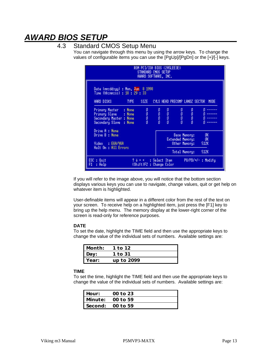# *AWARD BIOS SETUP*

### 4.3 Standard CMOS Setup Menu

You can navigate through this menu by using the arrow keys. To change the values of configurable items you can use the [PgUp]/[PgDn] or the [+]/[-] keys.

| ROM PCI/ISA BIOS (2A5LEE3E)<br>STANDARD CHOS SETUP<br>AHARD SOFTHARE, INC.                            |                                                                                                             |                                                 |                                |                                                                           |                            |  |  |
|-------------------------------------------------------------------------------------------------------|-------------------------------------------------------------------------------------------------------------|-------------------------------------------------|--------------------------------|---------------------------------------------------------------------------|----------------------------|--|--|
| Date (nn:dd:yy) : Mon, Jun 8 1998<br>Time (hh:mm:ss) : 18 : 29 : 33<br>HARD DISKS<br>TYPE <b>1</b>    | SIZE -                                                                                                      |                                                 | CYLS HEAD PRECOMP LANDZ SECTOR |                                                                           | <b>HODE</b>                |  |  |
| : None<br>Primary Master<br>Primary Slave : None<br>Secondary Master : None<br>Secondary Slave : None | 0.<br>$0<\pi$<br>o<br>O                                                                                     | $\begin{array}{c} 0 \\ 0 \\ 0 \\ 0 \end{array}$ |                                | $\begin{matrix} 0&0\\0&0\\0&0\\0&0 \end{matrix}$                          |                            |  |  |
| Drive A : None<br>Drive B : None<br>Video : EGA/VGA<br>Halt On : All Errors                           |                                                                                                             |                                                 |                                | <b>Base Menory:</b><br>Extended Menory:<br>Other Memory:<br>Total Memory: | -OK<br>-OK<br>512K<br>512K |  |  |
| $ESC : 0$ uit<br>F1.<br>: Help                                                                        | $\uparrow \downarrow \rightarrow \leftarrow$ : Select Item<br>PU/PD/+/-: Hodify<br>(Shift)F2 : Change Color |                                                 |                                |                                                                           |                            |  |  |

If you will refer to the image above, you will notice that the bottom section displays various keys you can use to navigate, change values, quit or get help on whatever item is highlighted.

User-definable items will appear in a different color from the rest of the text on your screen. To receive help on a highlighted item, just press the [F1] key to bring up the help menu. The memory display at the lower-right corner of the screen is read-only for reference purposes.

#### **DATE**

To set the date, highlight the TIME field and then use the appropriate keys to change the value of the individual sets of numbers. Available settings are:

| l Month: | 1 to 12    |  |
|----------|------------|--|
| Day:     | 1 to 31    |  |
| Year:    | up to 2099 |  |

#### **TIME**

To set the time, highlight the TIME field and then use the appropriate keys to change the value of the individual sets of numbers. Available settings are:

| Hour: | 00 to 23           |
|-------|--------------------|
|       | Minute: $00$ to 59 |
|       | Second: 00 to 59   |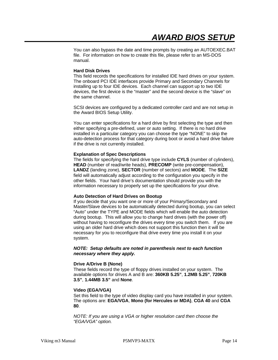You can also bypass the date and time prompts by creating an AUTOEXEC.BAT file. For information on how to create this file, please refer to an MS-DOS manual.

#### **Hard Disk Drives**

This field records the specifications for installed IDE hard drives on your system. The onboard PCI IDE interfaces provide Primary and Secondary Channels for installing up to four IDE devices. Each channel can support up to two IDE devices, the first device is the "master" and the second device is the "slave" on the same channel.

SCSI devices are configured by a dedicated controller card and are not setup in the Award BIOS Setup Utility.

You can enter specifications for a hard drive by first selecting the type and then either specifying a pre-defined, user or auto setting. If there is no hard drive installed in a particular category you can choose the type "NONE" to skip the auto-detection process for that category during boot or avoid a hard drive failure if the drive is not currently installed.

#### **Explanation of Spec Descriptions**

The fields for specifying the hard drive type include **CYLS** (number of cylinders), **HEAD** (number of read/write heads), **PRECOMP** (write pre-compensation), **LANDZ** (landing zone), **SECTOR** (number of sectors) and **MODE**. The **SIZE** field will automatically adjust according to the configuration you specify in the other fields. Your hard drive's documentation should provide you with the information necessary to properly set up the specifications for your drive.

#### **Auto Detection of Hard Drives on Bootup**

If you decide that you want one or more of your Primary/Secondary and Master/Slave devices to be automatically detected during bootup, you can select "Auto" under the TYPE and MODE fields which will enable the auto detection during bootup. This will allow you to change hard drives (with the power off) without having to reconfigure the drives every time you switch them. If you are using an older hard drive which does not support this function then it will be necessary for you to reconfigure that drive every time you install it on your system.

#### *NOTE: Setup defaults are noted in parenthesis next to each function necessary where they apply.*

#### **Drive A/Drive B (None)**

These fields record the type of floppy drives installed on your system. The available options for drives A and B are: **360KB 5.25"**, **1.2MB 5.25"**, **720KB 3.5"**, **1.44MB 3.5"** and **None**.

#### **Video (EGA/VGA)**

Set this field to the type of video display card you have installed in your system. The options are: **EGA/VGA**, **Mono (for Hercules or MDA)**, **CGA 40** and **CGA 80**.

*NOTE: If you are using a VGA or higher resolution card then choose the "EGA/VGA" option.*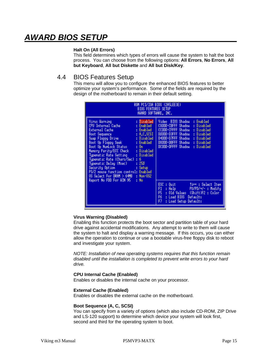# *AWARD BIOS SETUP*

#### **Halt On (All Errors)**

This field determines which types of errors will cause the system to halt the boot process. You can choose from the following options: **All Errors**, **No Errors**, **All but Keyboard**, **All but Diskette** and **All but Disk/Key**.

### 4.4 BIOS Features Setup

This menu will allow you to configure the enhanced BIOS features to better optimize your system's performance. Some of the fields are required by the design of the motherboard to remain in their default setting.

| <b>BIOS FEATURES SETUP</b><br>AWARD SOFTWARE, INC.                                                                                                                                                                                                                                                                                                                                                                                                                                                                                         | ROM PCI/ISA BIOS (2A5LEE3E)                                                                                                                                                                                                                                                                                                                 |
|--------------------------------------------------------------------------------------------------------------------------------------------------------------------------------------------------------------------------------------------------------------------------------------------------------------------------------------------------------------------------------------------------------------------------------------------------------------------------------------------------------------------------------------------|---------------------------------------------------------------------------------------------------------------------------------------------------------------------------------------------------------------------------------------------------------------------------------------------------------------------------------------------|
| <b>Virus Harning</b><br>: Disabled<br>: Enabled<br>CPU Internal Cache<br>External Cache<br>: Enabled<br>Boot Sequence<br>: A.C.SCSI<br>Suap Floppy Drive : Disabled<br>Boot Up Floppy Seek : Enabled<br>Boot Up NunLock Status : On<br>Memory Parity/ECC Check : Disabled<br>Typenatic Rate Setting<br>: Disabled<br>Typematic Rate (Chars/Sec)<br>: 6<br>Typenatic Delay (Msec)<br>: 250<br>Security Option<br>: Setup<br>PS/2 nouse function control: Enabled<br>OS Select For DRAM > 64MB : Non-OS2<br>Report No FDD For HIN 95<br>: No | Video<br>BIOS Shadou<br>: Enabled<br>C8000-CBFFF Shadou<br>: Disabled<br>CC000-CFFFF Shadou<br>: Disabled<br>D0000-D3FFF Shadou<br>: Disabled<br>D4000-D7FFF Shadou<br>: Disabled<br>D8000-DBFFF Shadou<br>: Disabled<br>DC000-DFFFF Shadou<br>: Disabled<br>ESC.<br>$: 0$ uit<br>T↓→←: Select Item<br>F1<br>$PU/PD/+/-$ : Modify<br>: Help |
|                                                                                                                                                                                                                                                                                                                                                                                                                                                                                                                                            | F5<br>: Old Values (Shift)F2 : Color<br>F6.<br>: Load BIOS Defaults<br>F7<br>: Load Setup Defaults                                                                                                                                                                                                                                          |

#### **Virus Warning (Disabled)**

Enabling this function protects the boot sector and partition table of your hard drive against accidental modifications. Any attempt to write to them will cause the system to halt and display a warning message. If this occurs, you can either allow the operation to continue or use a bootable virus-free floppy disk to reboot and investigate your system.

*NOTE: Installation of new operating systems requires that this function remain disabled until the installation is completed to prevent write errors to your hard drive.*

#### **CPU Internal Cache (Enabled)**

Enables or disables the internal cache on your processor.

#### **External Cache (Enabled)**

Enables or disables the external cache on the motherboard.

#### **Boot Sequence (A, C, SCSI)**

You can specify from a variety of options (which also include CD-ROM, ZIP Drive and LS-120 support) to determine which device your system will look first, second and third for the operating system to boot.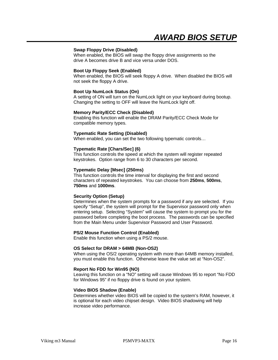#### **Swap Floppy Drive (Disabled)**

When enabled, the BIOS will swap the floppy drive assignments so the drive A becomes drive B and vice versa under DOS.

#### **Boot Up Floppy Seek (Enabled)**

When enabled, the BIOS will seek floppy A drive. When disabled the BIOS will not seek the floppy A drive.

#### **Boot Up NumLock Status (On)**

A setting of ON will turn on the NumLock light on your keyboard during bootup. Changing the setting to OFF will leave the NumLock light off.

#### **Memory Parity/ECC Check (Disabled)**

Enabling this function will enable the DRAM Parity/ECC Check Mode for compatible memory types.

#### **Typematic Rate Setting (Disabled)**

When enabled, you can set the two following typematic controls…

#### **Typematic Rate [Chars/Sec] (6)**

This function controls the speed at which the system will register repeated keystrokes. Option range from 6 to 30 characters per second.

#### **Typematic Delay [Msec] (250ms)**

This function controls the time interval for displaying the first and second characters of repeated keystrokes. You can choose from **250ms**, **500ms**, **750ms** and **1000ms**.

#### **Security Option (Setup)**

Determines when the system prompts for a password if any are selected. If you specify "Setup", the system will prompt for the Supervisor password only when entering setup. Selecting "System" will cause the system to prompt you for the password before completing the boot process. The passwords can be specified from the Main Menu under Supervisor Password and User Password.

#### **PS/2 Mouse Function Control (Enabled)**

Enable this function when using a PS/2 mouse.

#### **OS Select for DRAM > 64MB (Non-OS2)**

When using the OS/2 operating system with more than 64MB memory installed, you must enable this function. Otherwise leave the value set at "Non-OS2".

#### **Report No FDD for Win95 (NO)**

Leaving this function on a "NO" setting will cause Windows 95 to report "No FDD for Windows 95" if no floppy drive is found on your system.

#### **Video BIOS Shadow (Enable)**

Determines whether video BIOS will be copied to the system's RAM, however, it is optional for each video chipset design. Video BIOS shadowing will help increase video performance.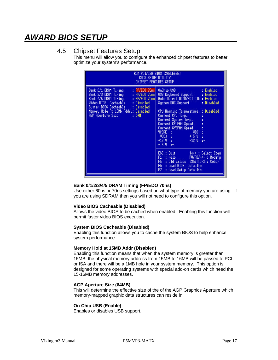# *AWARD BIOS SETUP*

### 4.5 Chipset Features Setup

This menu will allow you to configure the enhanced chipset features to better optimize your system's performance.

| ROM PCI/ISA BIOS (2A5LEE3E)<br>CHOS SETUP UTILITY<br>CHIPSET FEATURES SETUP                                                                                                                                                                                       |                                                                                                                                                                                                                                                                                                                                                              |  |  |  |  |
|-------------------------------------------------------------------------------------------------------------------------------------------------------------------------------------------------------------------------------------------------------------------|--------------------------------------------------------------------------------------------------------------------------------------------------------------------------------------------------------------------------------------------------------------------------------------------------------------------------------------------------------------|--|--|--|--|
| $:$ FP/EDO 70 $ns$<br>Bank 0/1 DRAM Tining<br>Bank 2/3 DRAM Tining : FP/EDO 70ns<br>Bank 4/5 DRAM Tining : FP/EDO 70ns<br>Video BIOS Cacheable : Disabled<br>System BIOS Cacheable : Disabled<br>Menory Hole At 15Mb Addr.: Disabled<br>AGP Aperture Size<br>:64H | OnChip USB<br>: Enabled<br>USB Keyboard Support : Enabled<br>Auto Detect DIMM/PCI Clk : Enabled<br>System DOC Support : Disabled<br>: Disabled<br>CPU Harning Temperature<br>Current CPU Temp.<br>Current System Temp.<br>Current CPUFAN Speed<br>Current SYSFAN Speed<br>VCORE :<br>VIO -<br>$\frac{10003}{1200}$ :<br>$+5V$ :<br>$-12$ V $-1$<br>$-50 + -$ |  |  |  |  |
|                                                                                                                                                                                                                                                                   | $ESC : 0$ uit<br>Ture: Select Item<br>F1<br>PU/PD/+/-: Modify<br>$: \mathsf{Help}$<br>F5 : Old Values (Shift)F2 : Color<br>F6 : Load BIOS Defaults<br>F7 -<br>: Load Setup Defaults                                                                                                                                                                          |  |  |  |  |

#### **Bank 0/1/2/3/4/5 DRAM Timing (FP/EDO 70ns)**

Use either 60ns or 70ns settings based on what type of memory you are using. If you are using SDRAM then you will not need to configure this option.

#### **Video BIOS Cacheable (Disabled)**

Allows the video BIOS to be cached when enabled. Enabling this function will permit faster video BIOS execution.

#### **System BIOS Cacheable (Disabled)**

Enabling this function allows you to cache the system BIOS to help enhance system performance.

#### **Memory Hold at 15MB Addr (Disabled)**

Enabling this function means that when the system memory is greater than 15MB, the physical memory address from 15MB to 16MB will be passed to PCI or ISA and there will be a 1MB hole in your system memory. This option is designed for some operating systems with special add-on cards which need the 15-16MB memory addresses.

#### **AGP Aperture Size (64MB)**

This will determine the effective size of the of the AGP Graphics Aperture which memory-mapped graphic data structures can reside in.

#### **On Chip USB (Enable)**

Enables or disables USB support.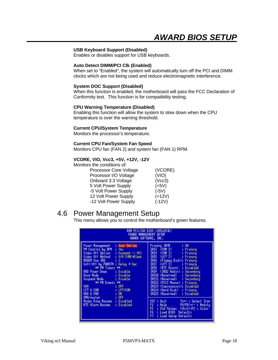#### **USB Keyboard Support (Disabled)**

Enables or disables support for USB keyboards.

#### **Auto Detect DIMM/PCI Clk (Enabled)**

When set to "Enabled", the system will automatically turn off the PCI and DIMM clocks which are not being used and reduce electromagnetic interference.

#### **System DOC Support (Disabled)**

When this function is enabled, the motherboard will pass the FCC Declaration of Conformity test. This function is for compatibility testing.

#### **CPU Warning Temperature (Disabled)**

Enabling this function will allow the system to slow down when the CPU temperature is over the warning threshold.

#### **Current CPU/System Temperature**

Monitors the processor's temperature.

#### **Current CPU Fan/System Fan Speed**

Monitors CPU fan (FAN 2) and system fan (FAN 1) RPM.

#### **VCORE, VIO, Vcc3, +5V, +12V, -12V**

Monitors the conditions of:

| Processor Core Voltage | (VCORE)  |
|------------------------|----------|
| Processor I/O Voltage  | (VIO)    |
| Onboard 3.3 Voltage    | (Vcc3)   |
| 5 Volt Power Supply    | $(+5V)$  |
| -5 Volt Power Supply   | $(-5V)$  |
| 12 Volt Power Supply   | $(+12V)$ |
| -12 Volt Power Supply  | $(-12V)$ |

## 4.6 Power Management Setup

This menu allows you to control the motherboard's green features.

| ROM PCI/ISA BIOS (2A5LEE3E)<br>POHER MANAGEMENT SETUP<br>AWARD SOFTWARE. INC.                                                                                                                                                                                                                                                                                                                                                                         |                                                                                                                                                                                                                                                                                                                                                                                                                                                                                                                                                                                                                                     |  |  |  |
|-------------------------------------------------------------------------------------------------------------------------------------------------------------------------------------------------------------------------------------------------------------------------------------------------------------------------------------------------------------------------------------------------------------------------------------------------------|-------------------------------------------------------------------------------------------------------------------------------------------------------------------------------------------------------------------------------------------------------------------------------------------------------------------------------------------------------------------------------------------------------------------------------------------------------------------------------------------------------------------------------------------------------------------------------------------------------------------------------------|--|--|--|
| Power Management<br>: User Define<br>PH Control by APM<br>: Yes<br>Video Off Option<br>$Suspend$ $\rightarrow$ Off<br>Video Off Method<br>: V/H SYNC+Blank<br>HODEH Use IRO<br>: 3<br>Soft-Off by PHRBTN : Delay 4 Sec<br>** PH Tiners **<br>HDD Power Down<br>: Disable<br>** PH Events **<br>VGA:<br>: OFF.<br>LPT & COM<br>: LPT/COM<br>: 0N<br>HDD & FDD<br>: 0FF<br>DHA/master<br>Moden Ring Resume : Disabled<br>RTC Alarn Resune<br>: Disabled | Primary INTR –<br>: ON<br>IR03 (COM 2)<br>: Primary<br>IR04 (COM 1)<br>: Primary<br>IRO5 (LPT 2)<br>: Primaru<br>IRO6 (Floppy Disk): Primary<br><u>IRO7 (LPT 1)</u><br>: Primary<br>IRO8 (RTC Alarn) : Disabled<br>IR09 (IR02 Redir)<br>: Secondaru<br>IR010 (Reserved)<br>: Secondary<br>IR011 (Reserved) : Secondary<br>IR012 (PS/2 Mouse) : Primary<br>IR013 (Coprocessor): Disabled<br>IRO14 (Hard Disk)<br>: Primary<br>IR015 (Reserved)<br>: Disabled<br>ESC: Ouit 14++: Select Item<br>F1<br>: Help $PU/PD/+/-$ : Modify<br>FS.<br>: Old Values (Shift)F2 : Color<br>F6 : Load BIOS Defaults<br>F7.<br>: Load Setup Defaults |  |  |  |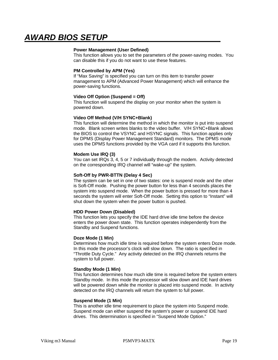#### **Power Management (User Defined)**

This function allows you to set the parameters of the power-saving modes. You can disable this if you do not want to use these features.

#### **PM Controlled by APM (Yes)**

If "Max Saving" is specified you can turn on this item to transfer power management to APM (Advanced Power Management) which will enhance the power-saving functions.

#### **Video Off Option (Suspend = Off)**

This function will suspend the display on your monitor when the system is powered down.

#### **Video Off Method (V/H SYNC+Blank)**

This function will determine the method in which the monitor is put into suspend mode. Blank screen writes blanks to the video buffer. V/H SYNC+Blank allows the BIOS to control the VSYNC and HSYNC signals. This function applies only for DPMS (Display Power Management Standard) monitors. The DPMS mode uses the DPMS functions provided by the VGA card if it supports this function.

#### **Modem Use IRQ (3)**

You can set IRQs 3, 4, 5 or 7 individually through the modem. Activity detected on the corresponding IRQ channel will "wake-up" the system.

#### **Soft-Off by PWR-BTTN (Delay 4 Sec)**

The system can be set in one of two states: one is suspend mode and the other is Soft-Off mode. Pushing the power button for less than 4 seconds places the system into suspend mode. When the power button is pressed for more than 4 seconds the system will enter Soft-Off mode. Setting this option to "Instant" will shut down the system when the power button is pushed.

#### **HDD Power Down (Disabled)**

This function lets you specify the IDE hard drive idle time before the device enters the power down state. This function operates independently from the Standby and Suspend functions.

#### **Doze Mode (1 Min)**

Determines how much idle time is required before the system enters Doze mode. In this mode the processor's clock will slow down. The ratio is specified in "Throttle Duty Cycle." Any activity detected on the IRQ channels returns the system to full power.

#### **Standby Mode (1 Min)**

This function determines how much idle time is required before the system enters Standby mode. In this mode the processor will slow down and IDE hard drives will be powered down while the monitor is placed into suspend mode. In activity detected on the IRQ channels will return the system to full power.

#### **Suspend Mode (1 Min)**

This is another idle time requirement to place the system into Suspend mode. Suspend mode can either suspend the system's power or suspend IDE hard drives. This determination is specified in "Suspend Mode Option."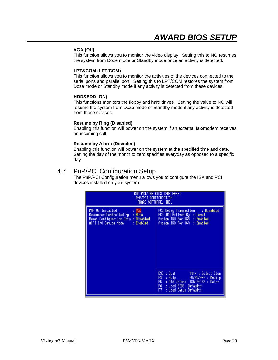#### **VGA (Off)**

This function allows you to monitor the video display. Setting this to NO resumes the system from Doze mode or Standby mode once an activity is detected.

#### **LPT&COM (LPT/COM)**

This function allows you to monitor the activities of the devices connected to the serial ports and parallel port. Setting this to LPT/COM restores the system from Doze mode or Standby mode if any activity is detected from these devices.

#### **HDD&FDD (ON)**

This functions monitors the floppy and hard drives. Setting the value to NO will resume the system from Doze mode or Standby mode if any activity is detected from those devices.

#### **Resume by Ring (Disabled)**

Enabling this function will power on the system if an external fax/modem receives an incoming call.

#### **Resume by Alarm (Disabled)**

Enabling this function will power on the system at the specified time and date. Setting the day of the month to zero specifies everyday as opposed to a specific day.

### 4.7 PnP/PCI Configuration Setup

The PnP/PCI Configuration menu allows you to configure the ISA and PCI devices installed on your system.

| ROM PCI/ISA BIOS (2A5LEE3E)<br>PNP/PCI CONFIGURATION<br>AWARD SOFTWARE, INC.                                                            |                                                                                                                                                                               |  |  |  |  |
|-----------------------------------------------------------------------------------------------------------------------------------------|-------------------------------------------------------------------------------------------------------------------------------------------------------------------------------|--|--|--|--|
| PNP OS Installed<br>: Yes<br>Resources Controlled By : Auto<br>Reset Configuration Data : Disabled<br>ACPI I/O Device Node<br>: Enabled | : Disabled<br>PCI Delay Transaction<br>PCI IRQ Actived By : Level<br><b>Assign IRQ For USB : Enabled</b><br>Assign IRQ For VGA : Enabled                                      |  |  |  |  |
|                                                                                                                                         | $ESC : 0$ uit<br>Time: Select Item<br>F1.<br>: Help PU/PD/+/- : Modifu<br>F5<br>: Old Values (Shift)F2 : Color<br>F6.<br>: Load BIOS Defaults<br>FZ.<br>: Load Setup Defaults |  |  |  |  |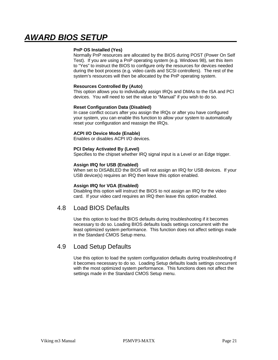#### **PnP OS Installed (Yes)**

Normally PnP resources are allocated by the BIOS during POST (Power On Self Test). If you are using a PnP operating system (e.g. Windows 98), set this item to "Yes" to instruct the BIOS to configure only the resources for devices needed during the boot process (e.g. video cards and SCSI controllers). The rest of the system's resources will then be allocated by the PnP operating system.

#### **Resources Controlled By (Auto)**

This option allows you to individually assign IRQs and DMAs to the ISA and PCI devices. You will need to set the value to "Manual" if you wish to do so.

#### **Reset Configuration Data (Disabled)**

In case conflict occurs after you assign the IRQs or after you have configured your system, you can enable this function to allow your system to automatically reset your configuration and reassign the IRQs.

#### **ACPI I/O Device Mode (Enable)**

Enables or disables ACPI I/O devices.

#### **PCI Delay Activated By (Level)**

Specifies to the chipset whether IRQ signal input is a Level or an Edge trigger.

#### **Assign IRQ for USB (Enabled)**

When set to DISABLED the BIOS will not assign an IRQ for USB devices. If your USB device(s) requires an IRQ then leave this option enabled.

#### **Assign IRQ for VGA (Enabled)**

Disabling this option will instruct the BIOS to not assign an IRQ for the video card. If your video card requires an IRQ then leave this option enabled.

### 4.8 Load BIOS Defaults

Use this option to load the BIOS defaults during troubleshooting if it becomes necessary to do so. Loading BIOS defaults loads settings concurrent with the least optimized system performance. This function does not affect settings made in the Standard CMOS Setup menu.

### 4.9 Load Setup Defaults

Use this option to load the system configuration defaults during troubleshooting if it becomes necessary to do so. Loading Setup defaults loads settings concurrent with the most optimized system performance. This functions does not affect the settings made in the Standard CMOS Setup menu.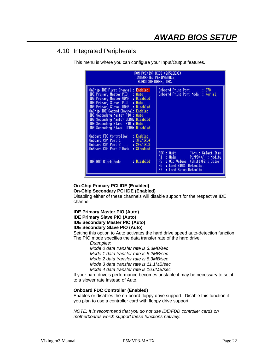## 4.10 Integrated Peripherals

This menu is where you can configure your Input/Output features.

| ROM PCI/ISA BIOS (2A5LEE3E)<br>Integrated Peripherals<br>AWARD SOFTWARE, INC.                                                                                                                                                                                                                                                                                                                                                                                                                                                          |                                                                                                                                                                                                     |  |  |  |
|----------------------------------------------------------------------------------------------------------------------------------------------------------------------------------------------------------------------------------------------------------------------------------------------------------------------------------------------------------------------------------------------------------------------------------------------------------------------------------------------------------------------------------------|-----------------------------------------------------------------------------------------------------------------------------------------------------------------------------------------------------|--|--|--|
| OnChip IDE First Channel : Enabled<br>IDE Primary Master PIO : Auto<br><b>IDE Primary Master UDMA : Disabled</b><br>IDE Primary Slave PIO : Auto<br><b>IDE Primary Slave UDMA : Disabled</b><br>OnChip IDE Second Channel: Enabled<br>IDE Secondary Master PIO : Auto<br>IDE Secondary Master UDMA: Disabled<br>IDE Secondary Slave PIO : Auto<br>IDE Secondary Slave UDMA: Disabled<br>Onboard FDC Controller<br>: Enabled<br>Onboard COM Port 1 : 3F8/IRQ4<br>Onboard COM Port 2 : 2F8/IRQ3<br>OnBoard COM Port 2 Mode<br>: Standard | Onboard Print Port : 378<br>Onboard Print Port Mode : Normal                                                                                                                                        |  |  |  |
| : Disabled<br><b>IDE HDD Block Mode</b>                                                                                                                                                                                                                                                                                                                                                                                                                                                                                                | ESC : Quit<br>$\uparrow \downarrow \rightarrow \cdot$ : Select Item<br>F1 : Help PU/PD/+/- : Modify<br>F5 : Old Values (Shift)F2 : Color<br>F6 : Load BIOS Defaults<br>F7.<br>: Load Setup Defaults |  |  |  |

**On-Chip Primary PCI IDE (Enabled)**

**On-Chip Secondary PCI IDE (Enabled)**

Disabling either of these channels will disable support for the respective IDE channel.

**IDE Primary Master PIO (Auto) IDE Primary Slave PIO (Auto)**

## **IDE Secondary Master PIO (Auto)**

### **IDE Secondary Slave PIO (Auto)**

Setting this option to Auto activates the hard drive speed auto-detection function. The PIO mode specifies the data transfer rate of the hard drive.

*Examples:*

*Mode 0 data transfer rate is 3.3MB/sec*

*Mode 1 data transfer rate is 5.2MB/sec*

*Mode 2 data transfer rate is 8.3MB/sec*

*Mode 3 data transfer rate is 11.1MB/sec*

*Mode 4 data transfer rate is 16.6MB/sec*

If your hard drive's performance becomes unstable it may be necessary to set it to a slower rate instead of Auto.

#### **Onboard FDC Controller (Enabled)**

Enables or disables the on-board floppy drive support. Disable this function if you plan to use a controller card with floppy drive support.

*NOTE: It is recommend that you do not use IDE/FDD controller cards on motherboards which support these functions natively.*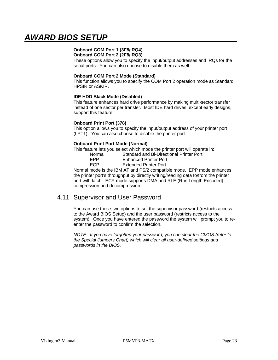## **Onboard COM Port 1 (3F8/IRQ4)**

**Onboard COM Port 2 (2F8/IRQ3)**

These options allow you to specify the input/output addresses and IRQs for the serial ports. You can also choose to disable them as well.

#### **Onboard COM Port 2 Mode (Standard)**

This function allows you to specify the COM Port 2 operation mode as Standard, HPSIR or ASKIR.

#### **IDE HDD Black Mode (Disabled)**

This feature enhances hard drive performance by making multi-sector transfer instead of one sector per transfer. Most IDE hard drives, except early designs, support this feature.

#### **Onboard Print Port (378)**

This option allows you to specify the input/output address of your printer port (LPT1). You can also choose to disable the printer port.

#### **Onboard Print Port Mode (Normal)**

This feature lets you select which mode the printer port will operate in:

| Normal     | Standard and Bi-Directional Printer Port |
|------------|------------------------------------------|
| <b>FPP</b> | <b>Enhanced Printer Port</b>             |
| <b>FCP</b> | <b>Extended Printer Port</b>             |

Normal mode is the IBM AT and PS/2 compatible mode. EPP mode enhances the printer port's throughput by directly writing/reading data to/from the printer port with latch. ECP mode supports DMA and RLE (Run Length Encoded) compression and decompression.

### 4.11 Supervisor and User Password

You can use these two options to set the supervisor password (restricts access to the Award BIOS Setup) and the user password (restricts access to the system). Once you have entered the password the system will prompt you to reenter the password to confirm the selection.

*NOTE: If you have forgotten your password, you can clear the CMOS (refer to the Special Jumpers Chart) which will clear all user-defined settings and passwords in the BIOS.*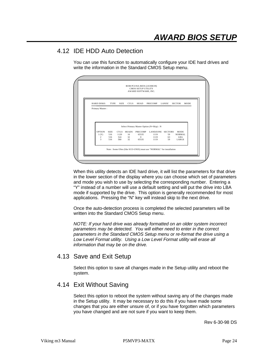## 4.12 IDE HDD Auto Detection

You can use this function to automatically configure your IDE hard drives and write the information in the Standard CMOS Setup menu.

|                         |             |             |              | <b>CMOS SETUP UTILITY</b><br>AWARD SOFTWARE, INC. |                                           |          |                       |
|-------------------------|-------------|-------------|--------------|---------------------------------------------------|-------------------------------------------|----------|-----------------------|
| <b>HARD DISKS</b>       | TYPE        | <b>SIZE</b> | <b>CYLS</b>  | HEAD                                              | <b>PRECOMP</b>                            | LANDZ    | <b>SECTOR</b><br>MODE |
| Primary Master:         |             |             |              |                                                   |                                           |          |                       |
|                         |             |             |              |                                                   |                                           |          |                       |
|                         |             |             |              |                                                   |                                           |          |                       |
|                         |             |             |              |                                                   |                                           |          |                       |
|                         |             |             |              |                                                   | Select Primary Master Option (N=Skip) : N |          |                       |
| <b>OPTION</b>           | <b>SIZE</b> | CYLS        | <b>HEADS</b> | <b>PRECOMP</b>                                    | LANDZONE SECTORS                          |          | <b>MODE</b>           |
| 1(Y)<br>2               | 516<br>516  | 1120<br>524 | 16<br>32     | 65535<br>$\Omega$                                 | 1119<br>1119                              | 59<br>63 | NORMAL.<br>LBA        |
| $\overline{\mathbf{3}}$ | 516         | 560         | 32           | 65535                                             | 1119                                      | 59       | LARGE                 |
|                         |             |             |              |                                                   |                                           |          |                       |
|                         |             |             |              |                                                   |                                           |          |                       |

When this utility detects an IDE hard drive, it will list the parameters for that drive in the lower section of the display where you can choose which set of parameters and mode you wish to use by selecting the corresponding number. Entering a "Y" instead of a number will use a default setting and will put the drive into LBA mode if supported by the drive. This option is generally recommended for most applications. Pressing the "N" key will instead skip to the next drive.

Once the auto-detection process is completed the selected parameters will be written into the Standard CMOS Setup menu.

*NOTE: If your hard drive was already formatted on an older system incorrect parameters may be detected. You will either need to enter in the correct parameters in the Standard CMOS Setup menu or re-format the drive using a Low Level Format utility. Using a Low Level Format utility will erase all information that may be on the drive.*

## 4.13 Save and Exit Setup

Select this option to save all changes made in the Setup utility and reboot the system.

## 4.14 Exit Without Saving

Select this option to reboot the system without saving any of the changes made in the Setup utility. It may be necessary to do this if you have made some changes that you are either unsure of, or if you have forgotten which parameters you have changed and are not sure if you want to keep them.

Rev 6-30-98 DS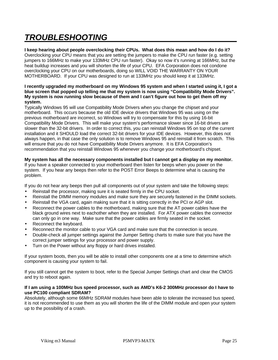# *TROUBLESHOOTING*

**I keep hearing about people overclocking their CPUs. What does this mean and how do I do it?** Overclocking your CPU means that you are setting the jumpers to make the CPU run faster (e.g. setting jumpers to 166MHz to make your 133MHz CPU run faster). Okay so now it's running at 166MHz, but the heat buildup increases and you will shorten the life of your CPU. EFA Corporation does not condone overclocking your CPU on our motherboards, doing so WILL VOID THE WARRANTY ON YOUR MOTHERBOARD. If your CPU was designed to run at 133MHz you should keep it at 133MHz.

#### **I recently upgraded my motherboard on my Windows 95 system and when I started using it, I got a blue screen that popped up telling me that my system is now using "Compatibility Mode Drivers". My system is now running slow because of them and I can't figure out how to get them off my system.**

Typically Windows 95 will use Compatibility Mode Drivers when you change the chipset and your motherboard. This occurs because the old IDE device drivers that Windows 95 was using on the previous motherboard are incorrect, so Windows will try to compensate for this by using 16-bit Compatibility Mode Drivers. This will make your system's performance slower since 16-bit drivers are slower than the 32-bit drivers. In order to correct this, you can reinstall Windows 95 on top of the current installation and it SHOULD load the correct 32-bit drivers for your IDE devices. However, this does not always happen, in that case the only solution is to remove Windows 95 and reinstall it from scratch. This will ensure that you do not have Compatibility Mode Drivers anymore. It is EFA Corporation's recommendation that you reinstall Windows 95 whenever you change your motherboard's chipset.

#### **My system has all the necessary components installed but I cannot get a display on my monitor.**

If you have a speaker connected to your motherboard then listen for beeps when you power on the system. If you hear any beeps then refer to the POST Error Beeps to determine what is causing the problem.

If you do not hear any beeps then pull all components out of your system and take the following steps:

- Reinstall the processor, making sure it is seated firmly in the CPU socket.
- Reinstall the DIMM memory modules and make sure they are securely fastened in the DIMM sockets.
- Reinstall the VGA card, again making sure that it is sitting correctly in the PCI or AGP slot.
- Reconnect the power cables to the motherboard, making sure that the AT power cables have the black ground wires next to eachother when they are installed. For ATX power cables the connector can only go in one way. Make sure that the power cables are firmly seated in the socket.
- Reconnect the keyboard.
- Reconnect the monitor cable to your VGA card and make sure that the connection is secure.
- Double-check all jumper settings against the Jumper Setting charts to make sure that you have the correct jumper settings for your processor and power supply.
- Turn on the Power without any floppy or hard drives installed.

If your system boots, then you will be able to install other components one at a time to determine which component is causing your system to fail.

If you still cannot get the system to boot, refer to the Special Jumper Settings chart and clear the CMOS and try to reboot again.

#### **If I am using a 100MHz bus speed processor, such as AMD's K6-2 300MHz processor do I have to use PC100 compliant SDRAM?**

Absolutely, although some 66MHz SDRAM modules have been able to tolerate the increased bus speed, it is not recommended to use them as you will shorten the life of the DIMM module and open your system up to the possibility of a crash.